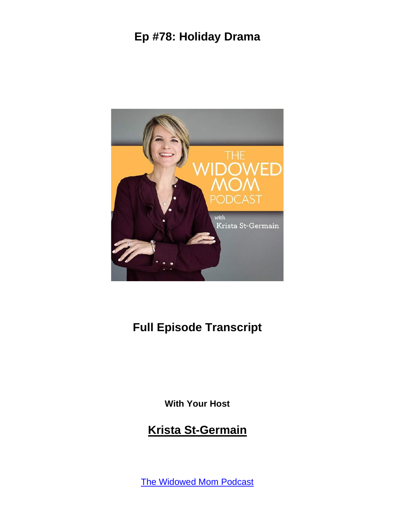

#### **Full Episode Transcript**

**With Your Host**

#### **Krista St-Germain**

The [Widowed](https://coachingwithkrista.com/podcast) Mom Podcast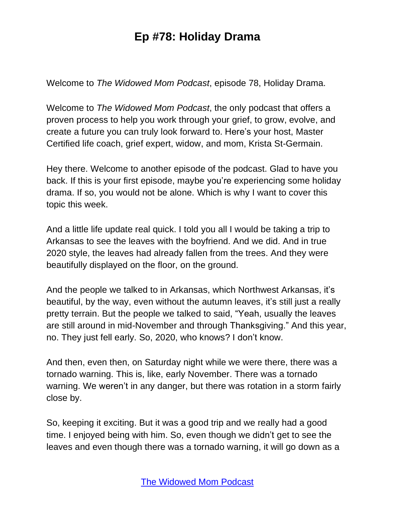Welcome to *The Widowed Mom Podcast*, episode 78, Holiday Drama.

Welcome to *The Widowed Mom Podcast*, the only podcast that offers a proven process to help you work through your grief, to grow, evolve, and create a future you can truly look forward to. Here's your host, Master Certified life coach, grief expert, widow, and mom, Krista St-Germain.

Hey there. Welcome to another episode of the podcast. Glad to have you back. If this is your first episode, maybe you're experiencing some holiday drama. If so, you would not be alone. Which is why I want to cover this topic this week.

And a little life update real quick. I told you all I would be taking a trip to Arkansas to see the leaves with the boyfriend. And we did. And in true 2020 style, the leaves had already fallen from the trees. And they were beautifully displayed on the floor, on the ground.

And the people we talked to in Arkansas, which Northwest Arkansas, it's beautiful, by the way, even without the autumn leaves, it's still just a really pretty terrain. But the people we talked to said, "Yeah, usually the leaves are still around in mid-November and through Thanksgiving." And this year, no. They just fell early. So, 2020, who knows? I don't know.

And then, even then, on Saturday night while we were there, there was a tornado warning. This is, like, early November. There was a tornado warning. We weren't in any danger, but there was rotation in a storm fairly close by.

So, keeping it exciting. But it was a good trip and we really had a good time. I enjoyed being with him. So, even though we didn't get to see the leaves and even though there was a tornado warning, it will go down as a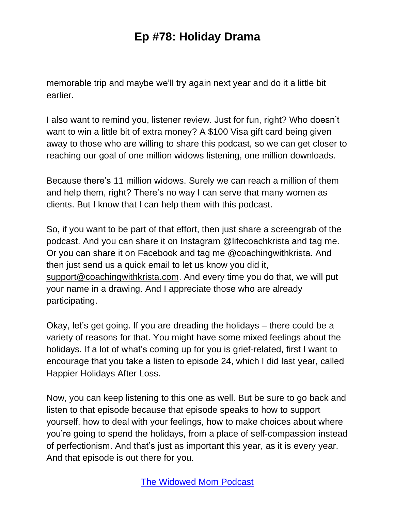memorable trip and maybe we'll try again next year and do it a little bit earlier.

I also want to remind you, listener review. Just for fun, right? Who doesn't want to win a little bit of extra money? A \$100 Visa gift card being given away to those who are willing to share this podcast, so we can get closer to reaching our goal of one million widows listening, one million downloads.

Because there's 11 million widows. Surely we can reach a million of them and help them, right? There's no way I can serve that many women as clients. But I know that I can help them with this podcast.

So, if you want to be part of that effort, then just share a screengrab of the podcast. And you can share it on Instagram @lifecoachkrista and tag me. Or you can share it on Facebook and tag me @coachingwithkrista. And then just send us a quick email to let us know you did it, [support@coachingwithkrista.com.](mailto:support@coachingwithkrista.com) And every time you do that, we will put your name in a drawing. And I appreciate those who are already participating.

Okay, let's get going. If you are dreading the holidays – there could be a variety of reasons for that. You might have some mixed feelings about the holidays. If a lot of what's coming up for you is grief-related, first I want to encourage that you take a listen to episode 24, which I did last year, called Happier Holidays After Loss.

Now, you can keep listening to this one as well. But be sure to go back and listen to that episode because that episode speaks to how to support yourself, how to deal with your feelings, how to make choices about where you're going to spend the holidays, from a place of self-compassion instead of perfectionism. And that's just as important this year, as it is every year. And that episode is out there for you.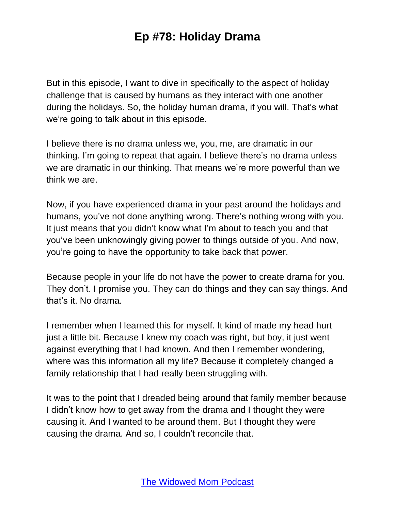But in this episode, I want to dive in specifically to the aspect of holiday challenge that is caused by humans as they interact with one another during the holidays. So, the holiday human drama, if you will. That's what we're going to talk about in this episode.

I believe there is no drama unless we, you, me, are dramatic in our thinking. I'm going to repeat that again. I believe there's no drama unless we are dramatic in our thinking. That means we're more powerful than we think we are.

Now, if you have experienced drama in your past around the holidays and humans, you've not done anything wrong. There's nothing wrong with you. It just means that you didn't know what I'm about to teach you and that you've been unknowingly giving power to things outside of you. And now, you're going to have the opportunity to take back that power.

Because people in your life do not have the power to create drama for you. They don't. I promise you. They can do things and they can say things. And that's it. No drama.

I remember when I learned this for myself. It kind of made my head hurt just a little bit. Because I knew my coach was right, but boy, it just went against everything that I had known. And then I remember wondering, where was this information all my life? Because it completely changed a family relationship that I had really been struggling with.

It was to the point that I dreaded being around that family member because I didn't know how to get away from the drama and I thought they were causing it. And I wanted to be around them. But I thought they were causing the drama. And so, I couldn't reconcile that.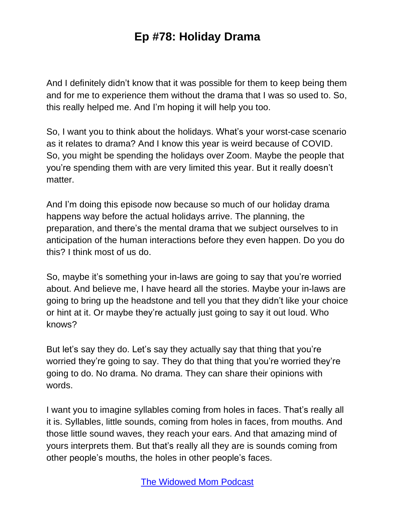And I definitely didn't know that it was possible for them to keep being them and for me to experience them without the drama that I was so used to. So, this really helped me. And I'm hoping it will help you too.

So, I want you to think about the holidays. What's your worst-case scenario as it relates to drama? And I know this year is weird because of COVID. So, you might be spending the holidays over Zoom. Maybe the people that you're spending them with are very limited this year. But it really doesn't matter.

And I'm doing this episode now because so much of our holiday drama happens way before the actual holidays arrive. The planning, the preparation, and there's the mental drama that we subject ourselves to in anticipation of the human interactions before they even happen. Do you do this? I think most of us do.

So, maybe it's something your in-laws are going to say that you're worried about. And believe me, I have heard all the stories. Maybe your in-laws are going to bring up the headstone and tell you that they didn't like your choice or hint at it. Or maybe they're actually just going to say it out loud. Who knows?

But let's say they do. Let's say they actually say that thing that you're worried they're going to say. They do that thing that you're worried they're going to do. No drama. No drama. They can share their opinions with words.

I want you to imagine syllables coming from holes in faces. That's really all it is. Syllables, little sounds, coming from holes in faces, from mouths. And those little sound waves, they reach your ears. And that amazing mind of yours interprets them. But that's really all they are is sounds coming from other people's mouths, the holes in other people's faces.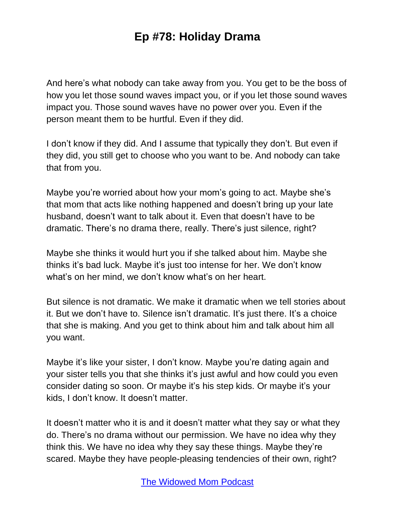And here's what nobody can take away from you. You get to be the boss of how you let those sound waves impact you, or if you let those sound waves impact you. Those sound waves have no power over you. Even if the person meant them to be hurtful. Even if they did.

I don't know if they did. And I assume that typically they don't. But even if they did, you still get to choose who you want to be. And nobody can take that from you.

Maybe you're worried about how your mom's going to act. Maybe she's that mom that acts like nothing happened and doesn't bring up your late husband, doesn't want to talk about it. Even that doesn't have to be dramatic. There's no drama there, really. There's just silence, right?

Maybe she thinks it would hurt you if she talked about him. Maybe she thinks it's bad luck. Maybe it's just too intense for her. We don't know what's on her mind, we don't know what's on her heart.

But silence is not dramatic. We make it dramatic when we tell stories about it. But we don't have to. Silence isn't dramatic. It's just there. It's a choice that she is making. And you get to think about him and talk about him all you want.

Maybe it's like your sister, I don't know. Maybe you're dating again and your sister tells you that she thinks it's just awful and how could you even consider dating so soon. Or maybe it's his step kids. Or maybe it's your kids, I don't know. It doesn't matter.

It doesn't matter who it is and it doesn't matter what they say or what they do. There's no drama without our permission. We have no idea why they think this. We have no idea why they say these things. Maybe they're scared. Maybe they have people-pleasing tendencies of their own, right?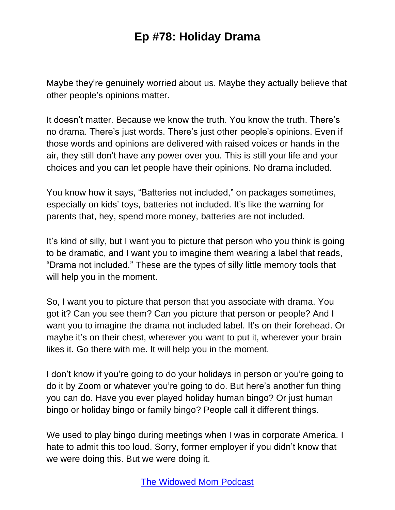Maybe they're genuinely worried about us. Maybe they actually believe that other people's opinions matter.

It doesn't matter. Because we know the truth. You know the truth. There's no drama. There's just words. There's just other people's opinions. Even if those words and opinions are delivered with raised voices or hands in the air, they still don't have any power over you. This is still your life and your choices and you can let people have their opinions. No drama included.

You know how it says, "Batteries not included," on packages sometimes, especially on kids' toys, batteries not included. It's like the warning for parents that, hey, spend more money, batteries are not included.

It's kind of silly, but I want you to picture that person who you think is going to be dramatic, and I want you to imagine them wearing a label that reads, "Drama not included." These are the types of silly little memory tools that will help you in the moment.

So, I want you to picture that person that you associate with drama. You got it? Can you see them? Can you picture that person or people? And I want you to imagine the drama not included label. It's on their forehead. Or maybe it's on their chest, wherever you want to put it, wherever your brain likes it. Go there with me. It will help you in the moment.

I don't know if you're going to do your holidays in person or you're going to do it by Zoom or whatever you're going to do. But here's another fun thing you can do. Have you ever played holiday human bingo? Or just human bingo or holiday bingo or family bingo? People call it different things.

We used to play bingo during meetings when I was in corporate America. I hate to admit this too loud. Sorry, former employer if you didn't know that we were doing this. But we were doing it.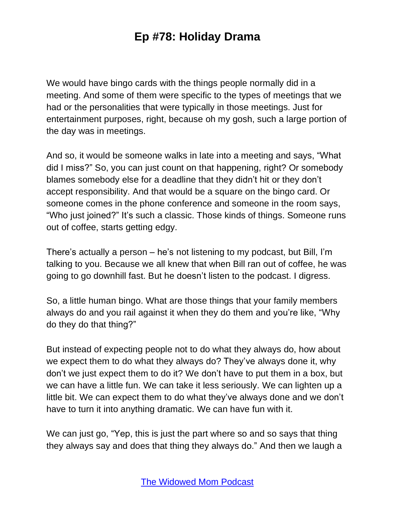We would have bingo cards with the things people normally did in a meeting. And some of them were specific to the types of meetings that we had or the personalities that were typically in those meetings. Just for entertainment purposes, right, because oh my gosh, such a large portion of the day was in meetings.

And so, it would be someone walks in late into a meeting and says, "What did I miss?" So, you can just count on that happening, right? Or somebody blames somebody else for a deadline that they didn't hit or they don't accept responsibility. And that would be a square on the bingo card. Or someone comes in the phone conference and someone in the room says, "Who just joined?" It's such a classic. Those kinds of things. Someone runs out of coffee, starts getting edgy.

There's actually a person – he's not listening to my podcast, but Bill, I'm talking to you. Because we all knew that when Bill ran out of coffee, he was going to go downhill fast. But he doesn't listen to the podcast. I digress.

So, a little human bingo. What are those things that your family members always do and you rail against it when they do them and you're like, "Why do they do that thing?"

But instead of expecting people not to do what they always do, how about we expect them to do what they always do? They've always done it, why don't we just expect them to do it? We don't have to put them in a box, but we can have a little fun. We can take it less seriously. We can lighten up a little bit. We can expect them to do what they've always done and we don't have to turn it into anything dramatic. We can have fun with it.

We can just go, "Yep, this is just the part where so and so says that thing they always say and does that thing they always do." And then we laugh a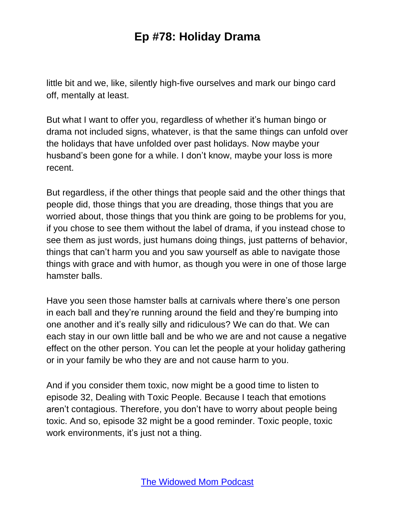little bit and we, like, silently high-five ourselves and mark our bingo card off, mentally at least.

But what I want to offer you, regardless of whether it's human bingo or drama not included signs, whatever, is that the same things can unfold over the holidays that have unfolded over past holidays. Now maybe your husband's been gone for a while. I don't know, maybe your loss is more recent.

But regardless, if the other things that people said and the other things that people did, those things that you are dreading, those things that you are worried about, those things that you think are going to be problems for you, if you chose to see them without the label of drama, if you instead chose to see them as just words, just humans doing things, just patterns of behavior, things that can't harm you and you saw yourself as able to navigate those things with grace and with humor, as though you were in one of those large hamster balls.

Have you seen those hamster balls at carnivals where there's one person in each ball and they're running around the field and they're bumping into one another and it's really silly and ridiculous? We can do that. We can each stay in our own little ball and be who we are and not cause a negative effect on the other person. You can let the people at your holiday gathering or in your family be who they are and not cause harm to you.

And if you consider them toxic, now might be a good time to listen to episode 32, Dealing with Toxic People. Because I teach that emotions aren't contagious. Therefore, you don't have to worry about people being toxic. And so, episode 32 might be a good reminder. Toxic people, toxic work environments, it's just not a thing.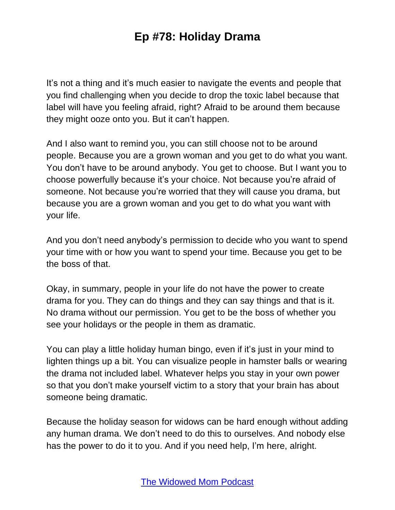It's not a thing and it's much easier to navigate the events and people that you find challenging when you decide to drop the toxic label because that label will have you feeling afraid, right? Afraid to be around them because they might ooze onto you. But it can't happen.

And I also want to remind you, you can still choose not to be around people. Because you are a grown woman and you get to do what you want. You don't have to be around anybody. You get to choose. But I want you to choose powerfully because it's your choice. Not because you're afraid of someone. Not because you're worried that they will cause you drama, but because you are a grown woman and you get to do what you want with your life.

And you don't need anybody's permission to decide who you want to spend your time with or how you want to spend your time. Because you get to be the boss of that.

Okay, in summary, people in your life do not have the power to create drama for you. They can do things and they can say things and that is it. No drama without our permission. You get to be the boss of whether you see your holidays or the people in them as dramatic.

You can play a little holiday human bingo, even if it's just in your mind to lighten things up a bit. You can visualize people in hamster balls or wearing the drama not included label. Whatever helps you stay in your own power so that you don't make yourself victim to a story that your brain has about someone being dramatic.

Because the holiday season for widows can be hard enough without adding any human drama. We don't need to do this to ourselves. And nobody else has the power to do it to you. And if you need help, I'm here, alright.